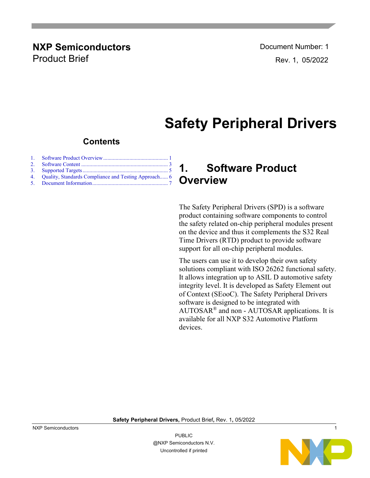### **NXP Semiconductors Document Number: 1** Product Brief **Rev. 1, 05/2022**

# **Safety Peripheral Drivers**

### **Contents**

| 4. Quality, Standards Compliance and Testing Approach 6 |  |
|---------------------------------------------------------|--|
|                                                         |  |

### <span id="page-0-0"></span>**1. Software Product Overview**

The Safety Peripheral Drivers (SPD) is a software product containing software components to control the safety related on-chip peripheral modules present on the device and thus it complements the S32 Real Time Drivers (RTD) product to provide software support for all on-chip peripheral modules.

The users can use it to develop their own safety solutions compliant with ISO 26262 functional safety. It allows integration up to ASIL D automotive safety integrity level. It is developed as Safety Element out of Context (SEooC). The Safety Peripheral Drivers software is designed to be integrated with AUTOSAR® and non - AUTOSAR applications. It is available for all NXP S32 Automotive Platform devices.

**Safety Peripheral Drivers,** Product Brief**,** Rev. 1**,** 05/2022



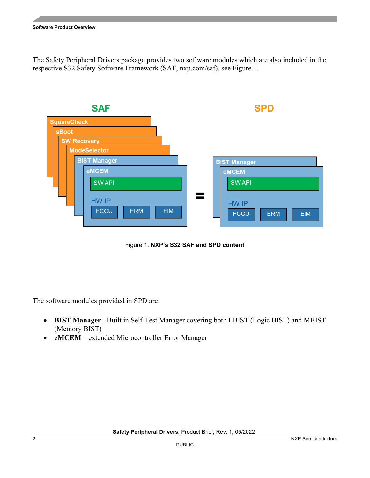The Safety Peripheral Drivers package provides two software modules which are also included in the respective S32 Safety Software Framework (SAF, nxp.com/saf), see Figure 1.



Figure 1. **NXP's S32 SAF and SPD content**

The software modules provided in SPD are:

- **BIST Manager** Built in Self-Test Manager covering both LBIST (Logic BIST) and MBIST (Memory BIST)
- **eMCEM** extended Microcontroller Error Manager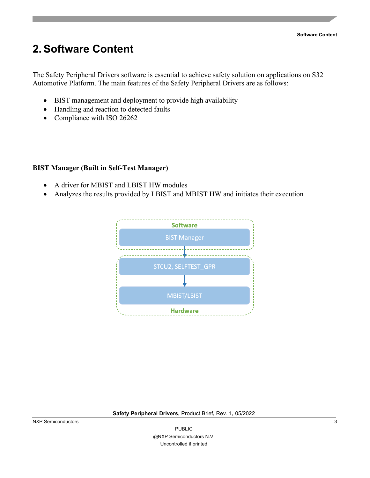## <span id="page-2-0"></span>**2. Software Content**

The Safety Peripheral Drivers software is essential to achieve safety solution on applications on S32 Automotive Platform. The main features of the Safety Peripheral Drivers are as follows:

- BIST management and deployment to provide high availability
- Handling and reaction to detected faults
- Compliance with ISO 26262

### **BIST Manager (Built in Self-Test Manager)**

- A driver for MBIST and LBIST HW modules
- Analyzes the results provided by LBIST and MBIST HW and initiates their execution



#### **Safety Peripheral Drivers,** Product Brief**,** Rev. 1**,** 05/2022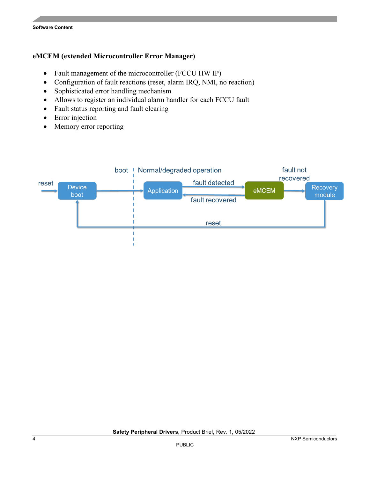#### **eMCEM (extended Microcontroller Error Manager)**

- Fault management of the microcontroller (FCCU HW IP)
- Configuration of fault reactions (reset, alarm IRQ, NMI, no reaction)
- Sophisticated error handling mechanism
- Allows to register an individual alarm handler for each FCCU fault
- Fault status reporting and fault clearing
- Error injection
- Memory error reporting

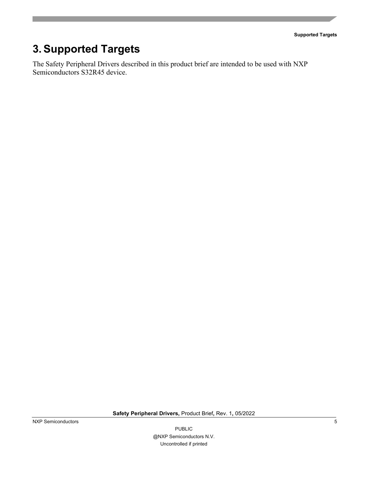**Supported Targets**

## <span id="page-4-0"></span>**3. Supported Targets**

The Safety Peripheral Drivers described in this product brief are intended to be used with NXP Semiconductors S32R45 device.

**Safety Peripheral Drivers,** Product Brief**,** Rev. 1**,** 05/2022

PUBLIC @NXP Semiconductors N.V. Uncontrolled if printed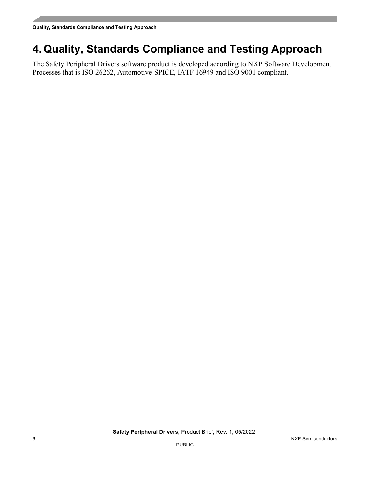## <span id="page-5-0"></span>**4. Quality, Standards Compliance and Testing Approach**

The Safety Peripheral Drivers software product is developed according to NXP Software Development Processes that is ISO 26262, Automotive-SPICE, IATF 16949 and ISO 9001 compliant.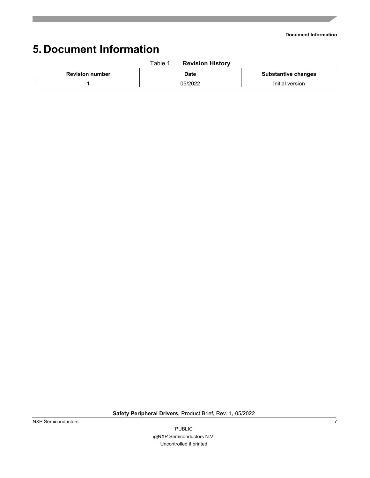**Document Information**

## <span id="page-6-0"></span>**5. Document Information**

|                        | Table 1. | <b>Revision History</b> |                            |
|------------------------|----------|-------------------------|----------------------------|
| <b>Revision number</b> |          | <b>Date</b>             | <b>Substantive changes</b> |
|                        |          | 05/2022                 | Initial version            |

**Safety Peripheral Drivers,** Product Brief**,** Rev. 1**,** 05/2022

PUBLIC @NXP Semiconductors N.V. Uncontrolled if printed